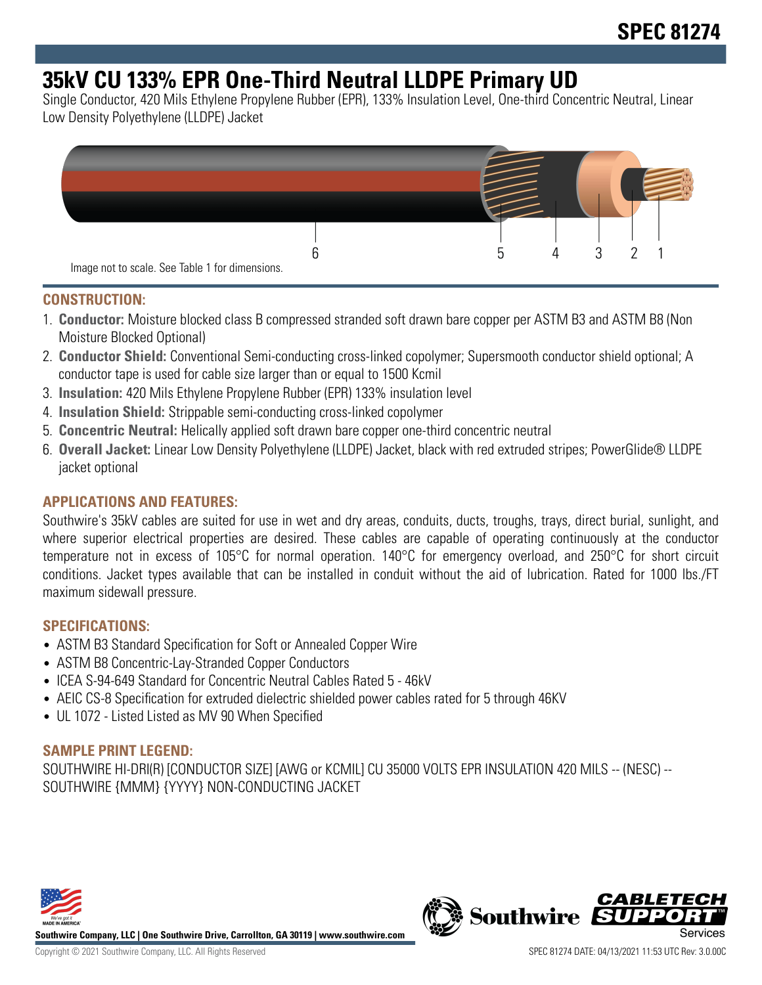# **35kV CU 133% EPR One-Third Neutral LLDPE Primary UD**

Single Conductor, 420 Mils Ethylene Propylene Rubber (EPR), 133% Insulation Level, One-third Concentric Neutral, Linear Low Density Polyethylene (LLDPE) Jacket



### **CONSTRUCTION:**

- 1. **Conductor:** Moisture blocked class B compressed stranded soft drawn bare copper per ASTM B3 and ASTM B8 (Non Moisture Blocked Optional)
- 2. **Conductor Shield:** Conventional Semi-conducting cross-linked copolymer; Supersmooth conductor shield optional; A conductor tape is used for cable size larger than or equal to 1500 Kcmil
- 3. **Insulation:** 420 Mils Ethylene Propylene Rubber (EPR) 133% insulation level
- 4. **Insulation Shield:** Strippable semi-conducting cross-linked copolymer
- 5. **Concentric Neutral:** Helically applied soft drawn bare copper one-third concentric neutral
- 6. **Overall Jacket:** Linear Low Density Polyethylene (LLDPE) Jacket, black with red extruded stripes; PowerGlide® LLDPE jacket optional

## **APPLICATIONS AND FEATURES:**

Southwire's 35kV cables are suited for use in wet and dry areas, conduits, ducts, troughs, trays, direct burial, sunlight, and where superior electrical properties are desired. These cables are capable of operating continuously at the conductor temperature not in excess of 105°C for normal operation. 140°C for emergency overload, and 250°C for short circuit conditions. Jacket types available that can be installed in conduit without the aid of lubrication. Rated for 1000 lbs./FT maximum sidewall pressure.

#### **SPECIFICATIONS:**

- ASTM B3 Standard Specification for Soft or Annealed Copper Wire
- ASTM B8 Concentric-Lay-Stranded Copper Conductors
- ICEA S-94-649 Standard for Concentric Neutral Cables Rated 5 46kV
- AEIC CS-8 Specification for extruded dielectric shielded power cables rated for 5 through 46KV
- UL 1072 Listed Listed as MV 90 When Specified

#### **SAMPLE PRINT LEGEND:**

SOUTHWIRE HI-DRI(R) [CONDUCTOR SIZE] [AWG or KCMIL] CU 35000 VOLTS EPR INSULATION 420 MILS -- (NESC) -- SOUTHWIRE {MMM} {YYYY} NON-CONDUCTING JACKET



**Southwire Company, LLC | One Southwire Drive, Carrollton, GA 30119 | www.southwire.com**

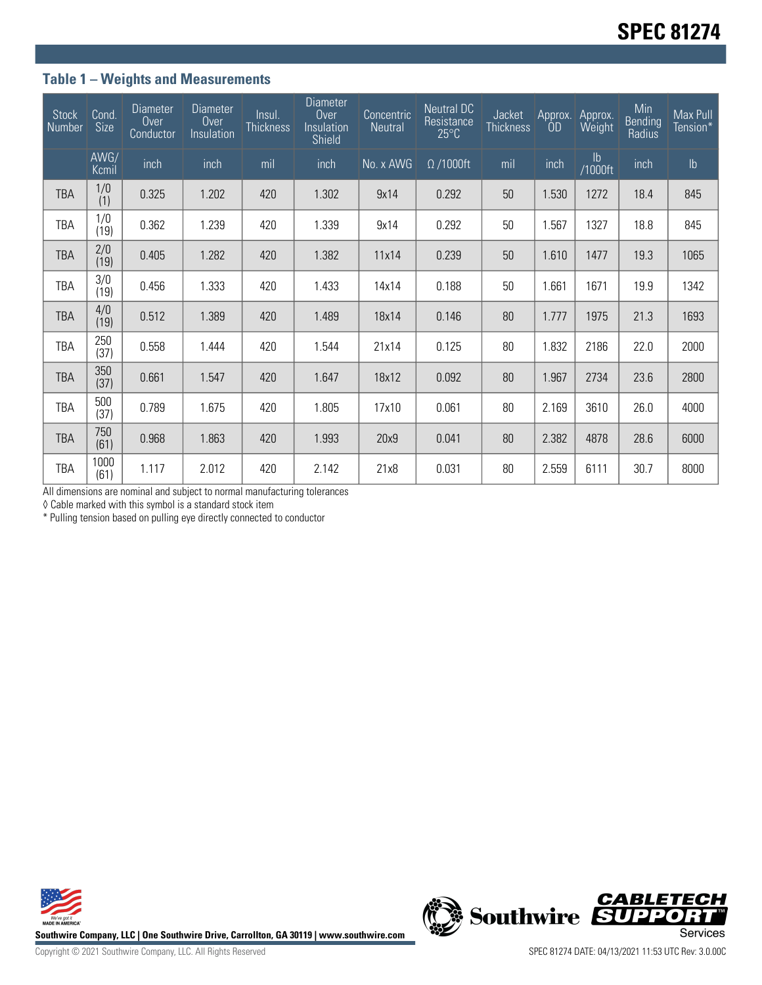## **Table 1 – Weights and Measurements**

| <b>Stock</b><br>Number | Cond.<br>Size         | <b>Diameter</b><br>Over<br>Conductor | <b>Diameter</b><br>Over<br>Insulation | Insul.<br><b>Thickness</b> | <b>Diameter</b><br>Over<br>Insulation<br>Shield | Concentric<br>Neutral | <b>Neutral DC</b><br>Resistance<br>$25^{\circ}$ C | Jacket<br><b>Thickness</b> | Approx. | Approx.<br>Weight | Min<br>Bending<br>Radius | Max Pull<br>Tension* |
|------------------------|-----------------------|--------------------------------------|---------------------------------------|----------------------------|-------------------------------------------------|-----------------------|---------------------------------------------------|----------------------------|---------|-------------------|--------------------------|----------------------|
|                        | AWG/<br>Kcmil         | inch                                 | inch                                  | mil                        | inch                                            | No. x AWG             | $\Omega$ /1000ft                                  | mil                        | inch    | lb<br>1000ft/     | inch                     | $\mathsf{lb}$        |
| <b>TBA</b>             | 1/0<br>(1)            | 0.325                                | 1.202                                 | 420                        | 1.302                                           | 9x14                  | 0.292                                             | 50                         | 1.530   | 1272              | 18.4                     | 845                  |
| TBA                    | 1/0<br>(19)           | 0.362                                | 1.239                                 | 420                        | 1.339                                           | 9x14                  | 0.292                                             | 50                         | 1.567   | 1327              | 18.8                     | 845                  |
| <b>TBA</b>             | $\frac{2}{0}$<br>(19) | 0.405                                | 1.282                                 | 420                        | 1.382                                           | 11x14                 | 0.239                                             | 50                         | 1.610   | 1477              | 19.3                     | 1065                 |
| TBA                    | 3/0<br>(19)           | 0.456                                | 1.333                                 | 420                        | 1.433                                           | 14x14                 | 0.188                                             | 50                         | 1.661   | 1671              | 19.9                     | 1342                 |
| <b>TBA</b>             | 4/0<br>(19)           | 0.512                                | 1.389                                 | 420                        | 1.489                                           | 18x14                 | 0.146                                             | 80                         | 1.777   | 1975              | 21.3                     | 1693                 |
| TBA                    | 250<br>(37)           | 0.558                                | 1.444                                 | 420                        | 1.544                                           | 21x14                 | 0.125                                             | 80                         | 1.832   | 2186              | 22.0                     | 2000                 |
| <b>TBA</b>             | 350<br>(37)           | 0.661                                | 1.547                                 | 420                        | 1.647                                           | 18x12                 | 0.092                                             | 80                         | 1.967   | 2734              | 23.6                     | 2800                 |
| TBA                    | 500<br>(37)           | 0.789                                | 1.675                                 | 420                        | 1.805                                           | 17x10                 | 0.061                                             | 80                         | 2.169   | 3610              | 26.0                     | 4000                 |
| <b>TBA</b>             | 750<br>(61)           | 0.968                                | 1.863                                 | 420                        | 1.993                                           | 20x9                  | 0.041                                             | 80                         | 2.382   | 4878              | 28.6                     | 6000                 |
| TBA                    | 1000<br>(61)          | 1.117                                | 2.012                                 | 420                        | 2.142                                           | 21x8                  | 0.031                                             | 80                         | 2.559   | 6111              | 30.7                     | 8000                 |

All dimensions are nominal and subject to normal manufacturing tolerances

◊ Cable marked with this symbol is a standard stock item

\* Pulling tension based on pulling eye directly connected to conductor



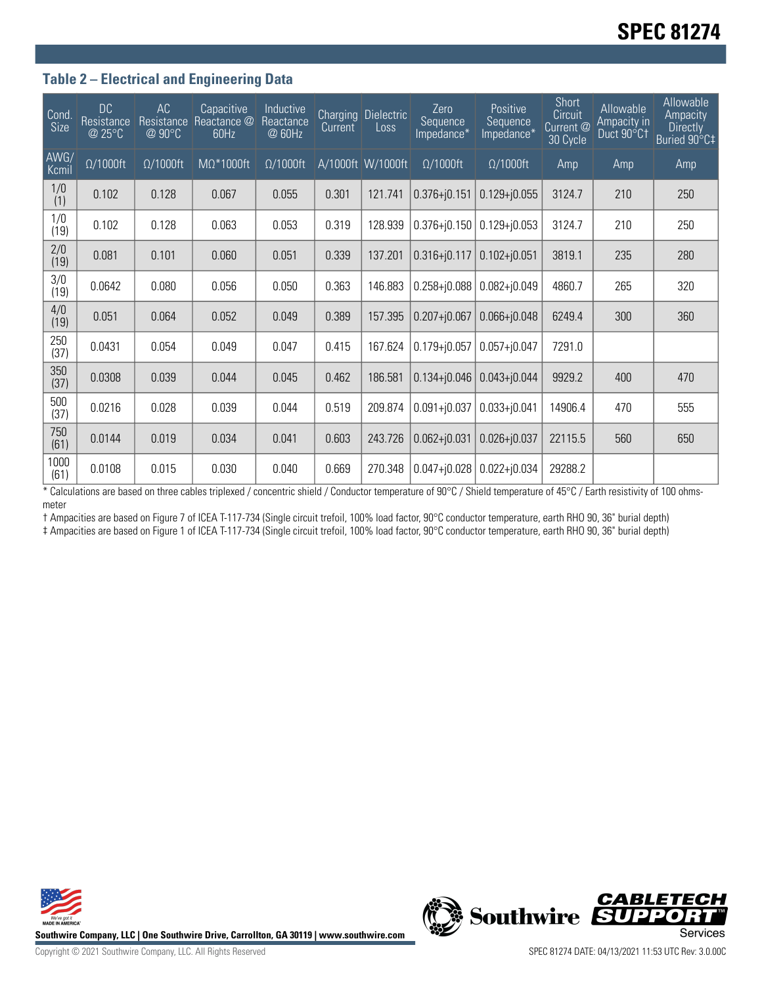## **Table 2 – Electrical and Engineering Data**

| Cond.<br>Size | <b>DC</b><br>Resistance<br>@ 25°C | AC<br>Resistance<br>@ 90°C | Capacitive<br>Reactance @<br>60Hz | Inductive<br>Reactance<br>@ 60Hz | <b>Charging</b><br>Current | <b>Dielectric</b><br>Loss | Zero<br>Sequence<br>Impedance* | Positive<br>Sequence<br>Impedance* | <b>Short</b><br>Circuit<br>Current @<br>30 Cycle | Allowable<br>Ampacity in<br>Duct 90°C1 | Allowable<br>Ampacity<br><b>Directly</b><br>Buried 90°C‡ |
|---------------|-----------------------------------|----------------------------|-----------------------------------|----------------------------------|----------------------------|---------------------------|--------------------------------|------------------------------------|--------------------------------------------------|----------------------------------------|----------------------------------------------------------|
| AWG/<br>Kcmil | $\Omega/1000$ ft                  | $\Omega/1000$ ft           | MΩ*1000ft                         | $\Omega/1000$ ft                 |                            | A/1000ft W/1000ft         | $\Omega/1000$ ft               | $\Omega/1000$ ft                   | Amp                                              | Amp                                    | Amp                                                      |
| 1/0<br>(1)    | 0.102                             | 0.128                      | 0.067                             | 0.055                            | 0.301                      | 121.741                   | $0.376 + j0.151$               | $0.129 + j0.055$                   | 3124.7                                           | 210                                    | 250                                                      |
| 1/0<br>(19)   | 0.102                             | 0.128                      | 0.063                             | 0.053                            | 0.319                      | 128.939                   | $0.376 + j0.150$               | $0.129 + j0.053$                   | 3124.7                                           | 210                                    | 250                                                      |
| 2/0<br>(19)   | 0.081                             | 0.101                      | 0.060                             | 0.051                            | 0.339                      | 137.201                   | $0.316 + j0.117$               | $0.102 + j0.051$                   | 3819.1                                           | 235                                    | 280                                                      |
| 3/0<br>(19)   | 0.0642                            | 0.080                      | 0.056                             | 0.050                            | 0.363                      | 146.883                   | $0.258 + j0.088$               | $0.082 + j0.049$                   | 4860.7                                           | 265                                    | 320                                                      |
| 4/0<br>(19)   | 0.051                             | 0.064                      | 0.052                             | 0.049                            | 0.389                      | 157.395                   | $0.207 + j0.067$               | $0.066 + j0.048$                   | 6249.4                                           | 300                                    | 360                                                      |
| 250<br>(37)   | 0.0431                            | 0.054                      | 0.049                             | 0.047                            | 0.415                      | 167.624                   | $0.179 + j0.057$               | $0.057 + j0.047$                   | 7291.0                                           |                                        |                                                          |
| 350<br>(37)   | 0.0308                            | 0.039                      | 0.044                             | 0.045                            | 0.462                      | 186.581                   | $0.134 + j0.046$               | $0.043 + j0.044$                   | 9929.2                                           | 400                                    | 470                                                      |
| 500<br>(37)   | 0.0216                            | 0.028                      | 0.039                             | 0.044                            | 0.519                      | 209.874                   | $0.091 + j0.037$               | $0.033 + j0.041$                   | 14906.4                                          | 470                                    | 555                                                      |
| 750<br>(61)   | 0.0144                            | 0.019                      | 0.034                             | 0.041                            | 0.603                      | 243.726                   | $0.062 + j0.031$               | $0.026 + j0.037$                   | 22115.5                                          | 560                                    | 650                                                      |
| 1000<br>(61)  | 0.0108                            | 0.015                      | 0.030                             | 0.040                            | 0.669                      | 270.348                   | $0.047 + 0.028$                | $0.022 + j0.034$                   | 29288.2                                          |                                        |                                                          |

\* Calculations are based on three cables triplexed / concentric shield / Conductor temperature of 90°C / Shield temperature of 45°C / Earth resistivity of 100 ohmsmeter

† Ampacities are based on Figure 7 of ICEA T-117-734 (Single circuit trefoil, 100% load factor, 90°C conductor temperature, earth RHO 90, 36" burial depth) ‡ Ampacities are based on Figure 1 of ICEA T-117-734 (Single circuit trefoil, 100% load factor, 90°C conductor temperature, earth RHO 90, 36" burial depth)



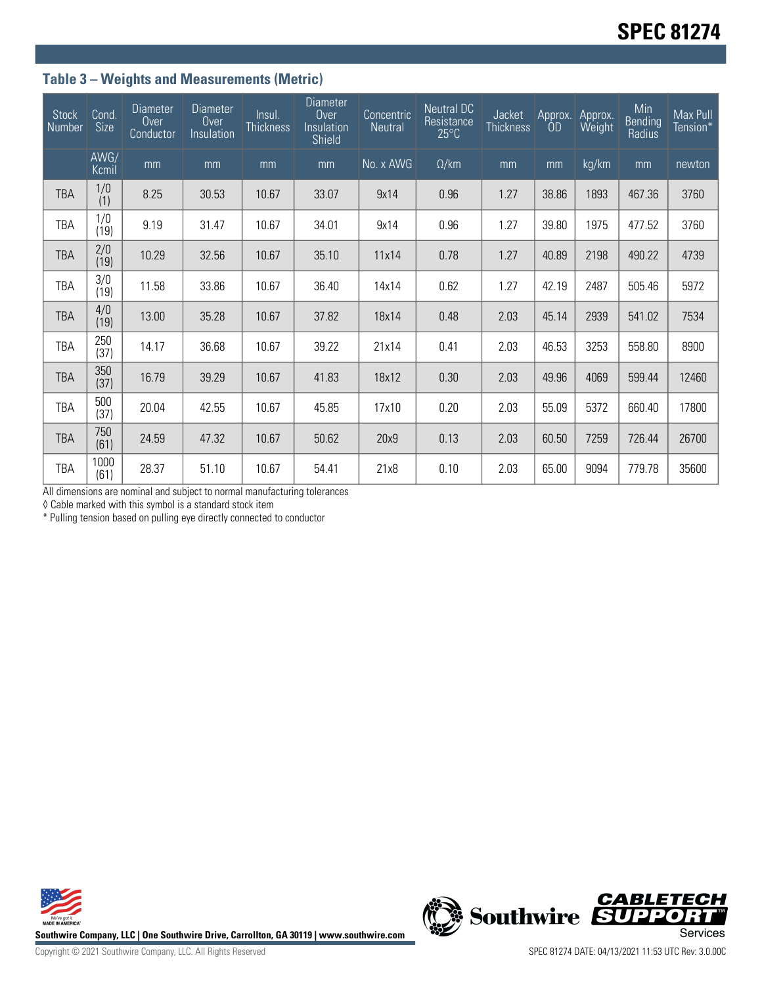# **Table 3 – Weights and Measurements (Metric)**

| <b>Stock</b><br>Number | Cond.<br>Size | <b>Diameter</b><br>Over<br>Conductor | <b>Diameter</b><br>Over<br>Insulation | Insul.<br><b>Thickness</b> | <b>Diameter</b><br>Over<br>Insulation<br>Shield | Concentric<br>Neutral | <b>Neutral DC</b><br>Resistance<br>$25^{\circ}$ C | Jacket<br><b>Thickness</b> | Approx.<br>OD | Approx.<br>Weight | Min<br>Bending<br>Radius | Max Pull<br>Tension* |
|------------------------|---------------|--------------------------------------|---------------------------------------|----------------------------|-------------------------------------------------|-----------------------|---------------------------------------------------|----------------------------|---------------|-------------------|--------------------------|----------------------|
|                        | AWG/<br>Kcmil | mm                                   | mm                                    | mm                         | mm                                              | No. x AWG             | $\Omega$ /km                                      | mm                         | mm            | kg/km             | mm                       | newton               |
| <b>TBA</b>             | 1/0<br>(1)    | 8.25                                 | 30.53                                 | 10.67                      | 33.07                                           | 9x14                  | 0.96                                              | 1.27                       | 38.86         | 1893              | 467.36                   | 3760                 |
| TBA                    | 1/0<br>(19)   | 9.19                                 | 31.47                                 | 10.67                      | 34.01                                           | 9x14                  | 0.96                                              | 1.27                       | 39.80         | 1975              | 477.52                   | 3760                 |
| <b>TBA</b>             | 2/0<br>(19)   | 10.29                                | 32.56                                 | 10.67                      | 35.10                                           | 11x14                 | 0.78                                              | 1.27                       | 40.89         | 2198              | 490.22                   | 4739                 |
| TBA                    | 3/0<br>(19)   | 11.58                                | 33.86                                 | 10.67                      | 36.40                                           | 14x14                 | 0.62                                              | 1.27                       | 42.19         | 2487              | 505.46                   | 5972                 |
| <b>TBA</b>             | 4/0<br>(19)   | 13.00                                | 35.28                                 | 10.67                      | 37.82                                           | 18x14                 | 0.48                                              | 2.03                       | 45.14         | 2939              | 541.02                   | 7534                 |
| TBA                    | 250<br>(37)   | 14.17                                | 36.68                                 | 10.67                      | 39.22                                           | 21x14                 | 0.41                                              | 2.03                       | 46.53         | 3253              | 558.80                   | 8900                 |
| <b>TBA</b>             | 350<br>(37)   | 16.79                                | 39.29                                 | 10.67                      | 41.83                                           | 18x12                 | 0.30                                              | 2.03                       | 49.96         | 4069              | 599.44                   | 12460                |
| TBA                    | 500<br>(37)   | 20.04                                | 42.55                                 | 10.67                      | 45.85                                           | 17x10                 | 0.20                                              | 2.03                       | 55.09         | 5372              | 660.40                   | 17800                |
| <b>TBA</b>             | 750<br>(61)   | 24.59                                | 47.32                                 | 10.67                      | 50.62                                           | 20x9                  | 0.13                                              | 2.03                       | 60.50         | 7259              | 726.44                   | 26700                |
| TBA                    | 1000<br>(61)  | 28.37                                | 51.10                                 | 10.67                      | 54.41                                           | 21x8                  | 0.10                                              | 2.03                       | 65.00         | 9094              | 779.78                   | 35600                |

All dimensions are nominal and subject to normal manufacturing tolerances

◊ Cable marked with this symbol is a standard stock item

\* Pulling tension based on pulling eye directly connected to conductor